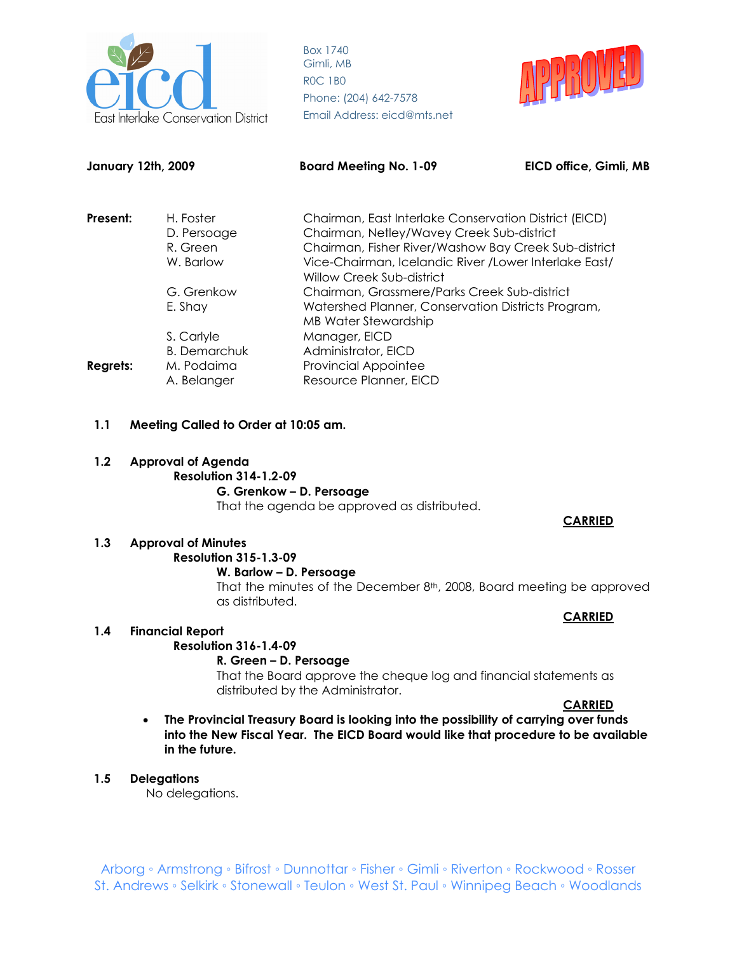



| <b>January 12th, 2009</b> |                           | <b>Board Meeting No. 1-09</b>                                                       | EICD office, Gimli, MB |
|---------------------------|---------------------------|-------------------------------------------------------------------------------------|------------------------|
| Present:                  | H. Foster                 | Chairman, East Interlake Conservation District (EICD)                               |                        |
|                           | D. Persoage               | Chairman, Netley/Wavey Creek Sub-district                                           |                        |
|                           | R. Green                  | Chairman, Fisher River/Washow Bay Creek Sub-district                                |                        |
|                           | W. Barlow                 | Vice-Chairman, Icelandic River / Lower Interlake East/<br>Willow Creek Sub-district |                        |
|                           | G. Grenkow                | Chairman, Grassmere/Parks Creek Sub-district                                        |                        |
|                           | E. Shay                   | Watershed Planner, Conservation Districts Program,                                  |                        |
|                           |                           | <b>MB Water Stewardship</b>                                                         |                        |
|                           | S. Carlyle                | Manager, EICD                                                                       |                        |
|                           | <b>B.</b> Demarchuk       | Administrator, EICD                                                                 |                        |
| <b>Regrets:</b>           | M. Podaima<br>A. Belanger | <b>Provincial Appointee</b><br>Resource Planner, EICD                               |                        |

#### **1.1 Meeting Called to Order at 10:05 am.**

## **1.2 Approval of Agenda Resolution 314-1.2-09 G. Grenkow – D. Persoage**

That the agenda be approved as distributed.

#### **CARRIED**

## **1.3 Approval of Minutes**

#### **Resolution 315-1.3-09 W. Barlow – D. Persoage**

That the minutes of the December 8<sup>th</sup>, 2008, Board meeting be approved as distributed.

#### **CARRIED**

#### **1.4 Financial Report**

#### **Resolution 316-1.4-09**

#### **R. Green – D. Persoage**

That the Board approve the cheque log and financial statements as distributed by the Administrator.

#### **CARRIED**

• **The Provincial Treasury Board is looking into the possibility of carrying over funds into the New Fiscal Year. The EICD Board would like that procedure to be available in the future.** 

#### **1.5 Delegations**

No delegations.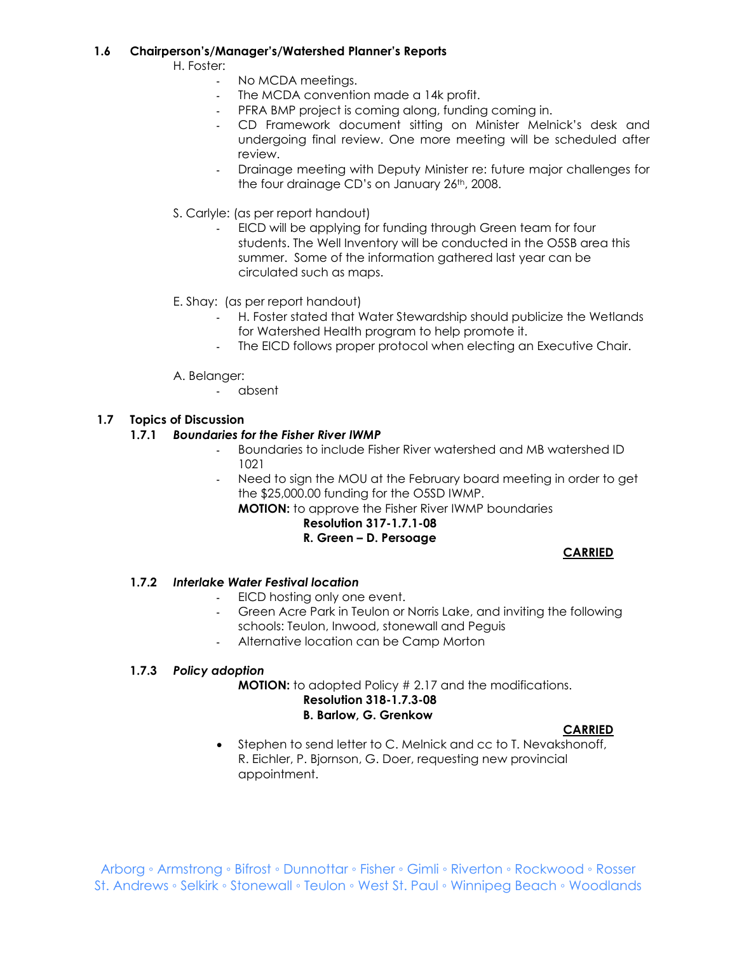#### **1.6 Chairperson's/Manager's/Watershed Planner's Reports**

H. Foster:

- No MCDA meetings.
- The MCDA convention made a 14k profit.
- PFRA BMP project is coming along, funding coming in.
- CD Framework document sitting on Minister Melnick's desk and undergoing final review. One more meeting will be scheduled after review.
- Drainage meeting with Deputy Minister re: future major challenges for the four drainage CD's on January 26th, 2008.
- S. Carlyle: (as per report handout)
	- EICD will be applying for funding through Green team for four students. The Well Inventory will be conducted in the O5SB area this summer. Some of the information gathered last year can be circulated such as maps.
- E. Shay: (as per report handout)
	- H. Foster stated that Water Stewardship should publicize the Wetlands for Watershed Health program to help promote it.
	- The EICD follows proper protocol when electing an Executive Chair.
- A. Belanger:
	- absent

## **1.7 Topics of Discussion**

#### **1.7.1** *Boundaries for the Fisher River IWMP*

- Boundaries to include Fisher River watershed and MB watershed ID 1021
- Need to sign the MOU at the February board meeting in order to get the \$25,000.00 funding for the O5SD IWMP.

**MOTION:** to approve the Fisher River IWMP boundaries

## **Resolution 317-1.7.1-08**

## **R. Green – D. Persoage**

**CARRIED**

#### **1.7.2** *Interlake Water Festival location*

- EICD hosting only one event.
- Green Acre Park in Teulon or Norris Lake, and inviting the following schools: Teulon, Inwood, stonewall and Peguis
- Alternative location can be Camp Morton

#### **1.7.3** *Policy adoption*

**MOTION:** to adopted Policy # 2.17 and the modifications.

## **Resolution 318-1.7.3-08 B. Barlow, G. Grenkow**

**CARRIED**

• Stephen to send letter to C. Melnick and cc to T. Nevakshonoff, R. Eichler, P. Bjornson, G. Doer, requesting new provincial appointment.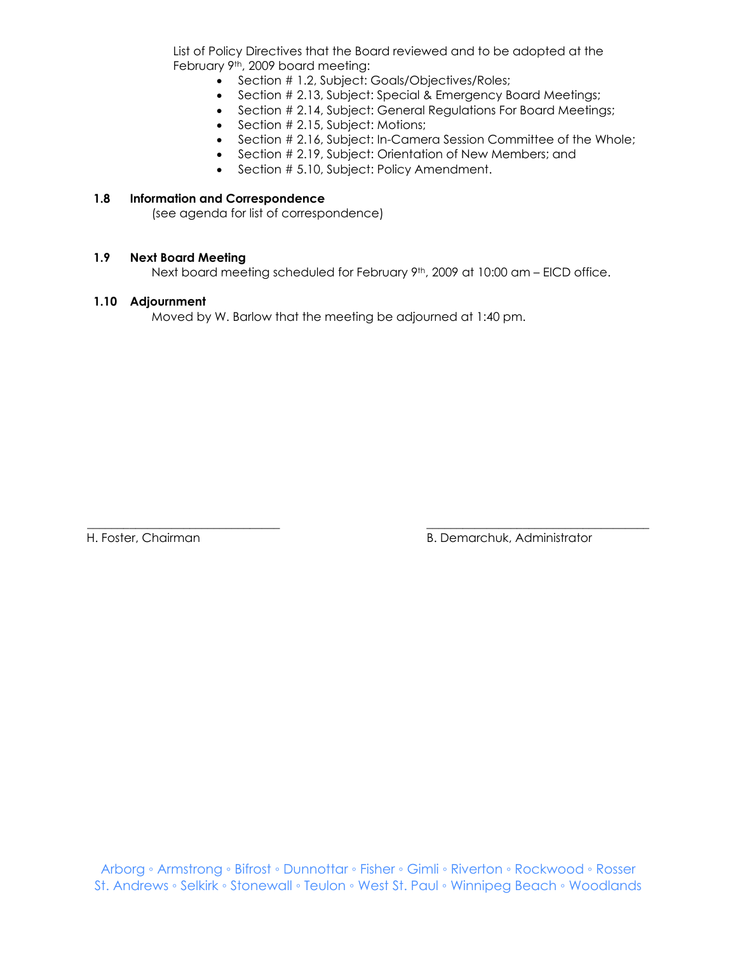List of Policy Directives that the Board reviewed and to be adopted at the February 9th, 2009 board meeting:

- Section # 1.2, Subject: Goals/Objectives/Roles;
- Section # 2.13, Subject: Special & Emergency Board Meetings;
- Section # 2.14, Subject: General Regulations For Board Meetings;
- Section # 2.15, Subject: Motions;
- Section # 2.16, Subject: In-Camera Session Committee of the Whole;
- Section # 2.19, Subject: Orientation of New Members; and
- Section # 5.10, Subject: Policy Amendment.

#### **1.8 Information and Correspondence**

(see agenda for list of correspondence)

#### **1.9 Next Board Meeting**

Next board meeting scheduled for February 9<sup>th</sup>, 2009 at 10:00 am – EICD office.

\_\_\_\_\_\_\_\_\_\_\_\_\_\_\_\_\_\_\_\_\_\_\_\_\_\_\_\_\_\_\_\_ \_\_\_\_\_\_\_\_\_\_\_\_\_\_\_\_\_\_\_\_\_\_\_\_\_\_\_\_\_\_\_\_\_\_\_\_\_

#### **1.10 Adjournment**

Moved by W. Barlow that the meeting be adjourned at 1:40 pm.

H. Foster, Chairman B. Demarchuk, Administrator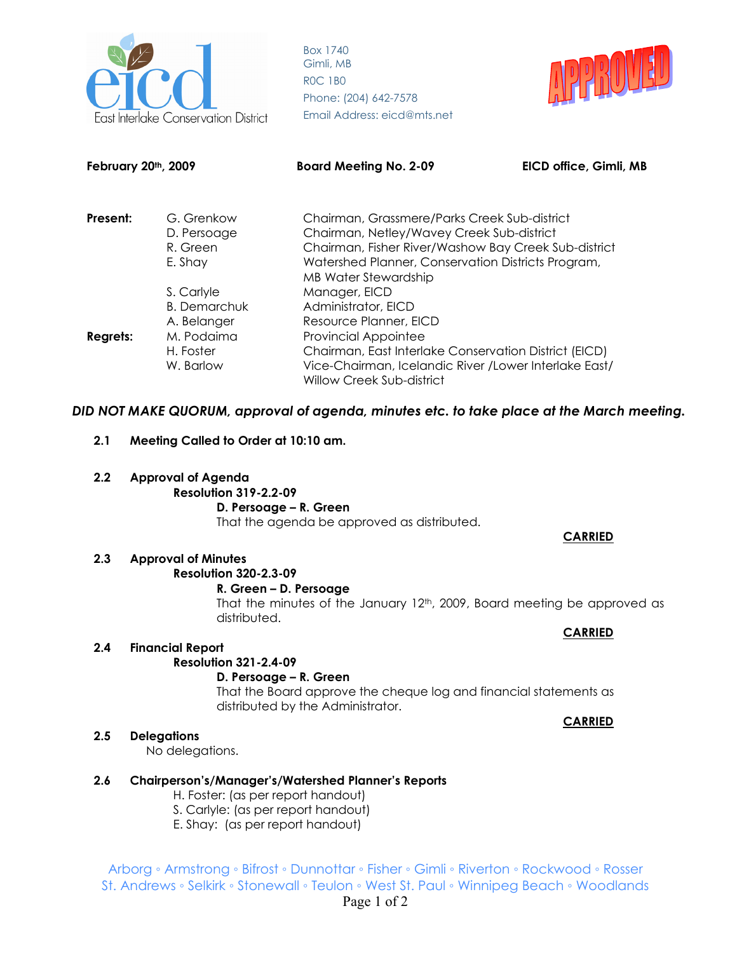



| February 20th, 2009 |                     | <b>Board Meeting No. 2-09</b>                                                       | EICD office, Gimli, MB |
|---------------------|---------------------|-------------------------------------------------------------------------------------|------------------------|
| Present:            | G. Grenkow          | Chairman, Grassmere/Parks Creek Sub-district                                        |                        |
|                     | D. Persoage         | Chairman, Netley/Wavey Creek Sub-district                                           |                        |
|                     | R. Green            | Chairman, Fisher River/Washow Bay Creek Sub-district                                |                        |
|                     | E. Shay             | Watershed Planner, Conservation Districts Program,                                  |                        |
|                     |                     | MB Water Stewardship                                                                |                        |
|                     | S. Carlyle          | Manager, EICD                                                                       |                        |
|                     | <b>B.</b> Demarchuk | Administrator, EICD                                                                 |                        |
|                     | A. Belanger         | Resource Planner, EICD                                                              |                        |
| <b>Regrets:</b>     | M. Podaima          | <b>Provincial Appointee</b>                                                         |                        |
|                     | H. Foster           | Chairman, East Interlake Conservation District (EICD)                               |                        |
|                     | W. Barlow           | Vice-Chairman, Icelandic River / Lower Interlake East/<br>Willow Creek Sub-district |                        |

## *DID NOT MAKE QUORUM, approval of agenda, minutes etc. to take place at the March meeting.*

- **2.1 Meeting Called to Order at 10:10 am.**
- **2.2 Approval of Agenda** 
	- **Resolution 319-2.2-09**

#### **D. Persoage – R. Green**

That the agenda be approved as distributed.

### **CARRIED**

#### **2.3 Approval of Minutes**

## **Resolution 320-2.3-09**

#### **R. Green – D. Persoage**

That the minutes of the January  $12<sup>th</sup>$ , 2009, Board meeting be approved as distributed.

## **2.4 Financial Report**

## **Resolution 321-2.4-09**

## **D. Persoage – R. Green**

That the Board approve the cheque log and financial statements as distributed by the Administrator.

#### **2.5 Delegations**

No delegations.

## **2.6 Chairperson's/Manager's/Watershed Planner's Reports**

- H. Foster: (as per report handout)
- S. Carlyle: (as per report handout)
- E. Shay: (as per report handout)

Arborg ◦ Armstrong ◦ Bifrost ◦ Dunnottar ◦ Fisher ◦ Gimli ◦ Riverton ◦ Rockwood ◦ Rosser St. Andrews ◦ Selkirk ◦ Stonewall ◦ Teulon ◦ West St. Paul ◦ Winnipeg Beach ◦ Woodlands

# **CARRIED**

**CARRIED**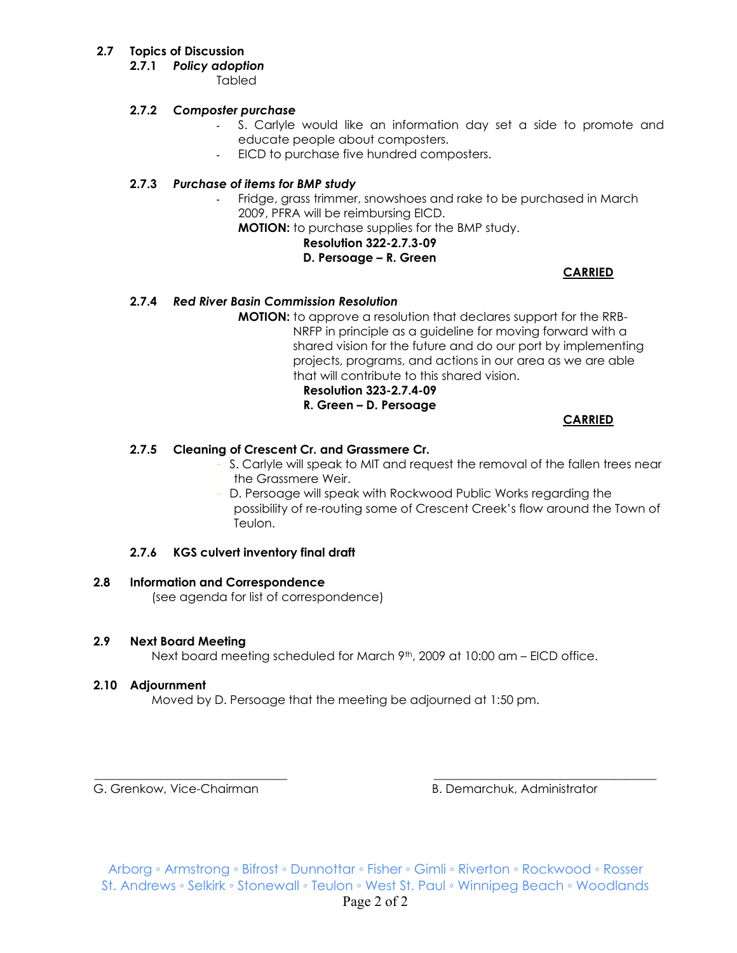## **2.7 Topics of Discussion**

**2.7.1** *Policy adoption* 

Tabled

## **2.7.2** *Composter purchase*

- S. Carlyle would like an information day set a side to promote and educate people about composters.
- EICD to purchase five hundred composters.

## **2.7.3** *Purchase of items for BMP study*

Fridge, grass trimmer, snowshoes and rake to be purchased in March 2009, PFRA will be reimbursing EICD.

**MOTION:** to purchase supplies for the BMP study.

## **Resolution 322-2.7.3-09**

## **D. Persoage – R. Green**

**CARRIED**

## **2.7.4** *Red River Basin Commission Resolution*

**MOTION:** to approve a resolution that declares support for the RRB- NRFP in principle as a guideline for moving forward with a shared vision for the future and do our port by implementing projects, programs, and actions in our area as we are able that will contribute to this shared vision.

 **Resolution 323-2.7.4-09** 

## **R. Green – D. Persoage**

**CARRIED**

## **2.7.5 Cleaning of Crescent Cr. and Grassmere Cr.**

- S. Carlyle will speak to MIT and request the removal of the fallen trees near the Grassmere Weir.
- D. Persoage will speak with Rockwood Public Works regarding the possibility of re-routing some of Crescent Creek's flow around the Town of Teulon.

## **2.7.6 KGS culvert inventory final draft**

#### **2.8 Information and Correspondence**

(see agenda for list of correspondence)

## **2.9 Next Board Meeting**

Next board meeting scheduled for March  $9<sup>th</sup>$ , 2009 at 10:00 am – EICD office.

## **2.10 Adjournment**

Moved by D. Persoage that the meeting be adjourned at 1:50 pm.

G. Grenkow, Vice-Chairman B. Demarchuk, Administrator

\_\_\_\_\_\_\_\_\_\_\_\_\_\_\_\_\_\_\_\_\_\_\_\_\_\_\_\_\_\_\_\_ \_\_\_\_\_\_\_\_\_\_\_\_\_\_\_\_\_\_\_\_\_\_\_\_\_\_\_\_\_\_\_\_\_\_\_\_\_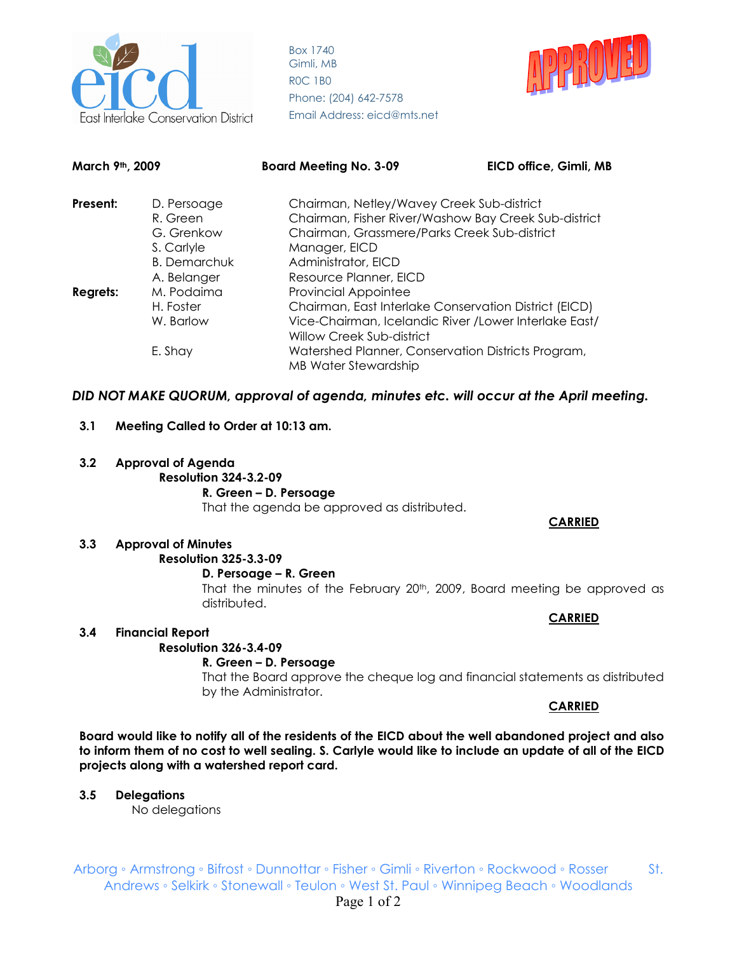

Box 1740 Gimli, MB R0C 1B0 Phone: (204) 642-7578 **Conservation District Email Address: eicd@mts.net** 



| March 9th, 2009 |                                                                                           | <b>Board Meeting No. 3-09</b>                                                                                                                                                                                                                                    | EICD office, Gimli, MB |
|-----------------|-------------------------------------------------------------------------------------------|------------------------------------------------------------------------------------------------------------------------------------------------------------------------------------------------------------------------------------------------------------------|------------------------|
| Present:        | D. Persoage<br>R. Green<br>G. Grenkow<br>S. Carlyle<br><b>B.</b> Demarchuk<br>A. Belanger | Chairman, Netley/Wavey Creek Sub-district<br>Chairman, Fisher River/Washow Bay Creek Sub-district<br>Chairman, Grassmere/Parks Creek Sub-district<br>Manager, EICD<br>Administrator, EICD<br>Resource Planner, EICD                                              |                        |
| <b>Regrets:</b> | M. Podaima<br>H. Foster<br>W. Barlow<br>E. Shay                                           | <b>Provincial Appointee</b><br>Chairman, East Interlake Conservation District (EICD)<br>Vice-Chairman, Icelandic River / Lower Interlake East/<br>Willow Creek Sub-district<br>Watershed Planner, Conservation Districts Program,<br><b>MB Water Stewardship</b> |                        |

## *DID NOT MAKE QUORUM, approval of agenda, minutes etc. will occur at the April meeting.*

## **3.1 Meeting Called to Order at 10:13 am.**

**3.2 Approval of Agenda Resolution 324-3.2-09 R. Green – D. Persoage**  That the agenda be approved as distributed.

#### **CARRIED**

## **3.3 Approval of Minutes Resolution 325-3.3-09**

#### **D. Persoage – R. Green**

That the minutes of the February 20<sup>th</sup>, 2009, Board meeting be approved as distributed.

#### **CARRIED**

#### **3.4 Financial Report**

**Resolution 326-3.4-09** 

#### **R. Green – D. Persoage**

That the Board approve the cheque log and financial statements as distributed by the Administrator.

#### **CARRIED**

**Board would like to notify all of the residents of the EICD about the well abandoned project and also to inform them of no cost to well sealing. S. Carlyle would like to include an update of all of the EICD projects along with a watershed report card.** 

## **3.5 Delegations**

No delegations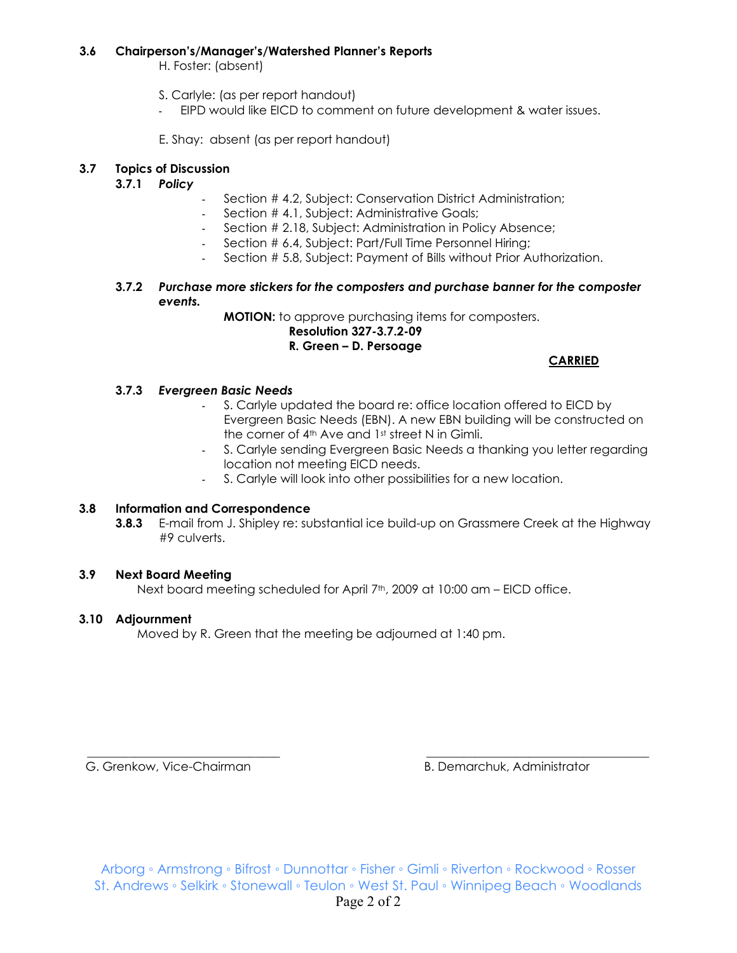#### **3.6 Chairperson's/Manager's/Watershed Planner's Reports**

H. Foster: (absent)

- S. Carlyle: (as per report handout)
- EIPD would like EICD to comment on future development & water issues.

E. Shay: absent (as per report handout)

## **3.7 Topics of Discussion**

## **3.7.1** *Policy*

- Section # 4.2, Subject: Conservation District Administration;
- Section # 4.1, Subject: Administrative Goals;
- Section # 2.18, Subject: Administration in Policy Absence;
- Section # 6.4, Subject: Part/Full Time Personnel Hiring;
- Section # 5.8, Subject: Payment of Bills without Prior Authorization.
- **3.7.2** *Purchase more stickers for the composters and purchase banner for the composter events.*

**MOTION:** to approve purchasing items for composters.

#### **Resolution 327-3.7.2-09 R. Green – D. Persoage**

## **CARRIED**

## **3.7.3** *Evergreen Basic Needs*

- S. Carlyle updated the board re: office location offered to EICD by Evergreen Basic Needs (EBN). A new EBN building will be constructed on the corner of 4<sup>th</sup> Ave and 1<sup>st</sup> street N in Gimli.
- S. Carlyle sending Evergreen Basic Needs a thanking you letter regarding location not meeting EICD needs.
- S. Carlyle will look into other possibilities for a new location.

#### **3.8 Information and Correspondence**

**3.8.3** E-mail from J. Shipley re: substantial ice build-up on Grassmere Creek at the Highway #9 culverts.

#### **3.9 Next Board Meeting**

Next board meeting scheduled for April  $7<sup>th</sup>$ , 2009 at 10:00 am – EICD office.

## **3.10 Adjournment**

Moved by R. Green that the meeting be adjourned at 1:40 pm.

G. Grenkow, Vice-Chairman B. Demarchuk, Administrator

\_\_\_\_\_\_\_\_\_\_\_\_\_\_\_\_\_\_\_\_\_\_\_\_\_\_\_\_\_\_\_\_ \_\_\_\_\_\_\_\_\_\_\_\_\_\_\_\_\_\_\_\_\_\_\_\_\_\_\_\_\_\_\_\_\_\_\_\_\_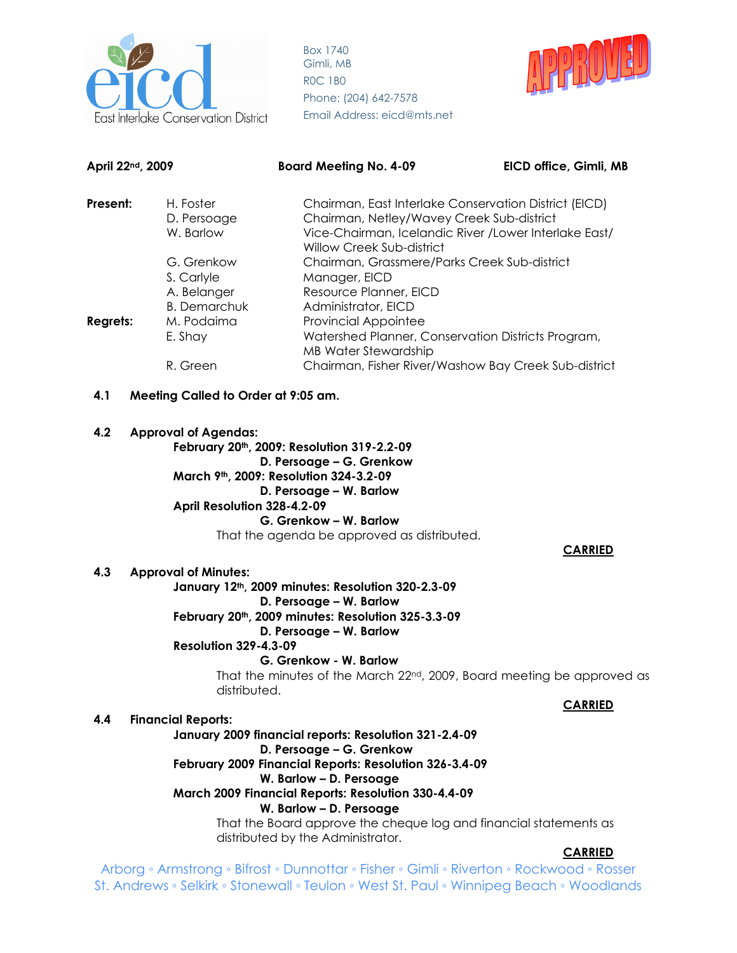



| April 22nd, 2009 |  |                                                                                                     | <b>Board Meeting No. 4-09</b>                                                                                                                                                                                                                                                                                                                                      | EICD office, Gimli, MB |
|------------------|--|-----------------------------------------------------------------------------------------------------|--------------------------------------------------------------------------------------------------------------------------------------------------------------------------------------------------------------------------------------------------------------------------------------------------------------------------------------------------------------------|------------------------|
| Present:         |  | H. Foster<br>D. Persoage<br>W. Barlow                                                               | Chairman, East Interlake Conservation District (EICD)<br>Chairman, Netley/Wavey Creek Sub-district<br>Vice-Chairman, Icelandic River / Lower Interlake East/<br>Willow Creek Sub-district                                                                                                                                                                          |                        |
| <b>Regrets:</b>  |  | G. Grenkow<br>S. Carlyle<br>A. Belanger<br><b>B.</b> Demarchuk<br>M. Podaima<br>E. Shay<br>R. Green | Chairman, Grassmere/Parks Creek Sub-district<br>Manager, EICD<br>Resource Planner, EICD<br>Administrator, EICD<br><b>Provincial Appointee</b><br>Watershed Planner, Conservation Districts Program,<br><b>MB Water Stewardship</b><br>Chairman, Fisher River/Washow Bay Creek Sub-district                                                                         |                        |
| 4.1              |  | Meeting Called to Order at 9:05 am.                                                                 |                                                                                                                                                                                                                                                                                                                                                                    |                        |
|                  |  |                                                                                                     |                                                                                                                                                                                                                                                                                                                                                                    |                        |
| 4.2              |  | <b>Approval of Agendas:</b><br>April Resolution 328-4.2-09                                          | February 20th, 2009: Resolution 319-2.2-09<br>D. Persoage - G. Grenkow<br>March 9th, 2009: Resolution 324-3.2-09<br>D. Persoage - W. Barlow<br>G. Grenkow - W. Barlow<br>That the agenda be approved as distributed.                                                                                                                                               |                        |
|                  |  |                                                                                                     |                                                                                                                                                                                                                                                                                                                                                                    | <b>CARRIED</b>         |
| 4.3              |  | <b>Approval of Minutes:</b><br><b>Resolution 329-4.3-09</b><br>distributed.                         | January 12th, 2009 minutes: Resolution 320-2.3-09<br>D. Persoage - W. Barlow<br>February 20th, 2009 minutes: Resolution 325-3.3-09<br>D. Persoage - W. Barlow<br>G. Grenkow - W. Barlow<br>That the minutes of the March 22 <sup>nd</sup> , 2009, Board meeting be approved as                                                                                     | <b>CARRIED</b>         |
| 4.4              |  | <b>Financial Reports:</b>                                                                           |                                                                                                                                                                                                                                                                                                                                                                    |                        |
|                  |  |                                                                                                     | January 2009 financial reports: Resolution 321-2.4-09<br>D. Persoage - G. Grenkow<br>February 2009 Financial Reports: Resolution 326-3.4-09<br>W. Barlow - D. Persoage<br>March 2009 Financial Reports: Resolution 330-4.4-09<br>W. Barlow - D. Persoage<br>That the Board approve the cheque log and financial statements as<br>distributed by the Administrator. | <b>CARRIED</b>         |
|                  |  |                                                                                                     | Arborg • Armstrong • Bifrost • Dunnottar • Fisher • Gimli • Riverton • Rockwood • Rosser                                                                                                                                                                                                                                                                           |                        |

St. Andrews ◦ Selkirk ◦ Stonewall ◦ Teulon ◦ West St. Paul ◦ Winnipeg Beach ◦ Woodlands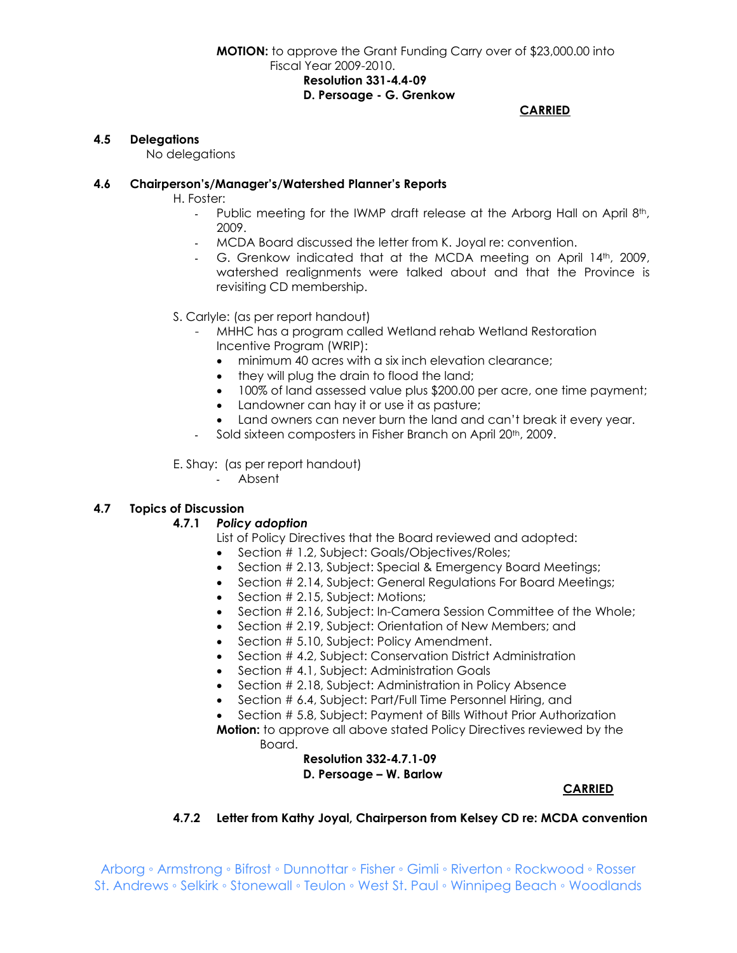#### **CARRIED**

#### **4.5 Delegations**

No delegations

#### **4.6 Chairperson's/Manager's/Watershed Planner's Reports**

H. Foster:

- Public meeting for the IWMP draft release at the Arborg Hall on April 8th, 2009.
- MCDA Board discussed the letter from K. Joyal re: convention.
- G. Grenkow indicated that at the MCDA meeting on April 14th, 2009, watershed realignments were talked about and that the Province is revisiting CD membership.
- S. Carlyle: (as per report handout)
	- MHHC has a program called Wetland rehab Wetland Restoration Incentive Program (WRIP):
		- minimum 40 acres with a six inch elevation clearance;
		- they will plug the drain to flood the land;
		- 100% of land assessed value plus \$200.00 per acre, one time payment;
		- Landowner can hay it or use it as pasture;
		- Land owners can never burn the land and can't break it every year.
	- Sold sixteen composters in Fisher Branch on April 20<sup>th</sup>, 2009.

E. Shay: (as per report handout)

- Absent

#### **4.7 Topics of Discussion**

#### **4.7.1** *Policy adoption*

List of Policy Directives that the Board reviewed and adopted:

- Section # 1.2, Subject: Goals/Objectives/Roles;
- Section # 2.13, Subject: Special & Emergency Board Meetings;
- Section # 2.14, Subject: General Regulations For Board Meetings;
- Section # 2.15, Subject: Motions;
- Section # 2.16, Subject: In-Camera Session Committee of the Whole;
- Section # 2.19, Subject: Orientation of New Members; and
- Section # 5.10, Subject: Policy Amendment.
- Section #4.2, Subject: Conservation District Administration
- Section # 4.1, Subject: Administration Goals
- Section # 2.18, Subject: Administration in Policy Absence
- Section # 6.4, Subject: Part/Full Time Personnel Hiring, and
- Section # 5.8, Subject: Payment of Bills Without Prior Authorization **Motion:** to approve all above stated Policy Directives reviewed by the Board.

## **Resolution 332-4.7.1-09 D. Persoage – W. Barlow**

#### **CARRIED**

#### **4.7.2 Letter from Kathy Joyal, Chairperson from Kelsey CD re: MCDA convention**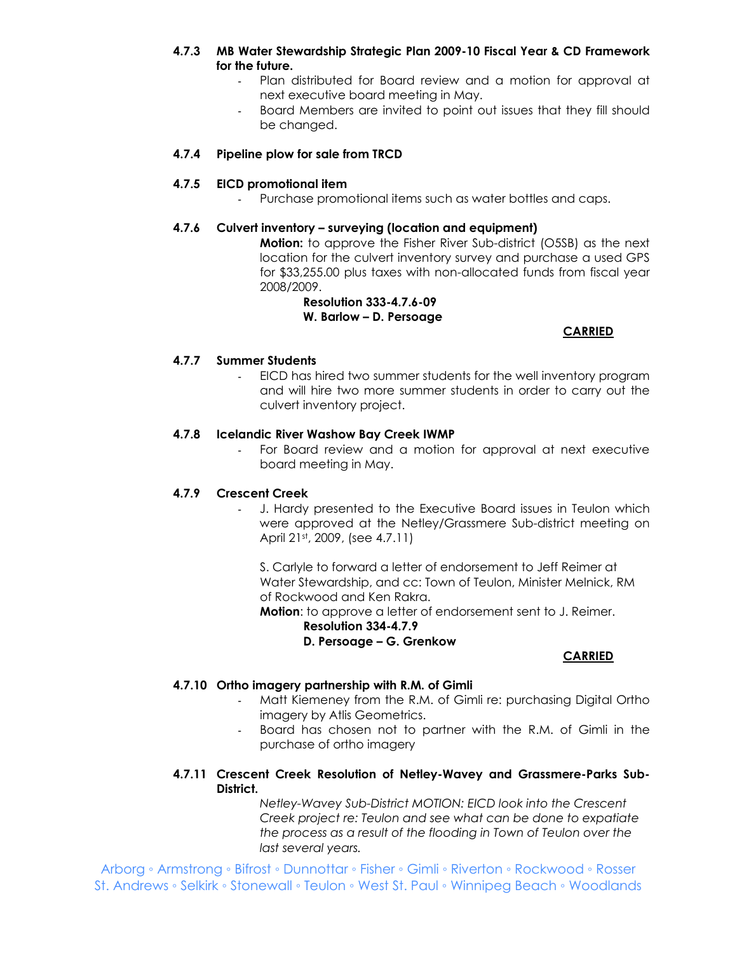## **4.7.3 MB Water Stewardship Strategic Plan 2009-10 Fiscal Year & CD Framework for the future.**

- Plan distributed for Board review and a motion for approval at next executive board meeting in May.
- Board Members are invited to point out issues that they fill should be changed.

### **4.7.4 Pipeline plow for sale from TRCD**

### **4.7.5 EICD promotional item**

Purchase promotional items such as water bottles and caps.

#### **4.7.6 Culvert inventory – surveying (location and equipment)**

**Motion:** to approve the Fisher River Sub-district (O5SB) as the next location for the culvert inventory survey and purchase a used GPS for \$33,255.00 plus taxes with non-allocated funds from fiscal year 2008/2009.

#### **Resolution 333-4.7.6-09 W. Barlow – D. Persoage**

## **CARRIED**

#### **4.7.7 Summer Students**

- EICD has hired two summer students for the well inventory program and will hire two more summer students in order to carry out the culvert inventory project.

#### **4.7.8 Icelandic River Washow Bay Creek IWMP**

- For Board review and a motion for approval at next executive board meeting in May.

#### **4.7.9 Crescent Creek**

J. Hardy presented to the Executive Board issues in Teulon which were approved at the Netley/Grassmere Sub-district meeting on April 21st, 2009, (see 4.7.11)

S. Carlyle to forward a letter of endorsement to Jeff Reimer at Water Stewardship, and cc: Town of Teulon, Minister Melnick, RM of Rockwood and Ken Rakra.

**Motion**: to approve a letter of endorsement sent to J. Reimer. **Resolution 334-4.7.9** 

## **D. Persoage – G. Grenkow**

## **CARRIED**

#### **4.7.10 Ortho imagery partnership with R.M. of Gimli**

- Matt Kiemeney from the R.M. of Gimli re: purchasing Digital Ortho imagery by Atlis Geometrics.
- Board has chosen not to partner with the R.M. of Gimli in the purchase of ortho imagery

#### **4.7.11 Crescent Creek Resolution of Netley-Wavey and Grassmere-Parks Sub-District.**

*Netley-Wavey Sub-District MOTION: EICD look into the Crescent Creek project re: Teulon and see what can be done to expatiate the process as a result of the flooding in Town of Teulon over the last several years.*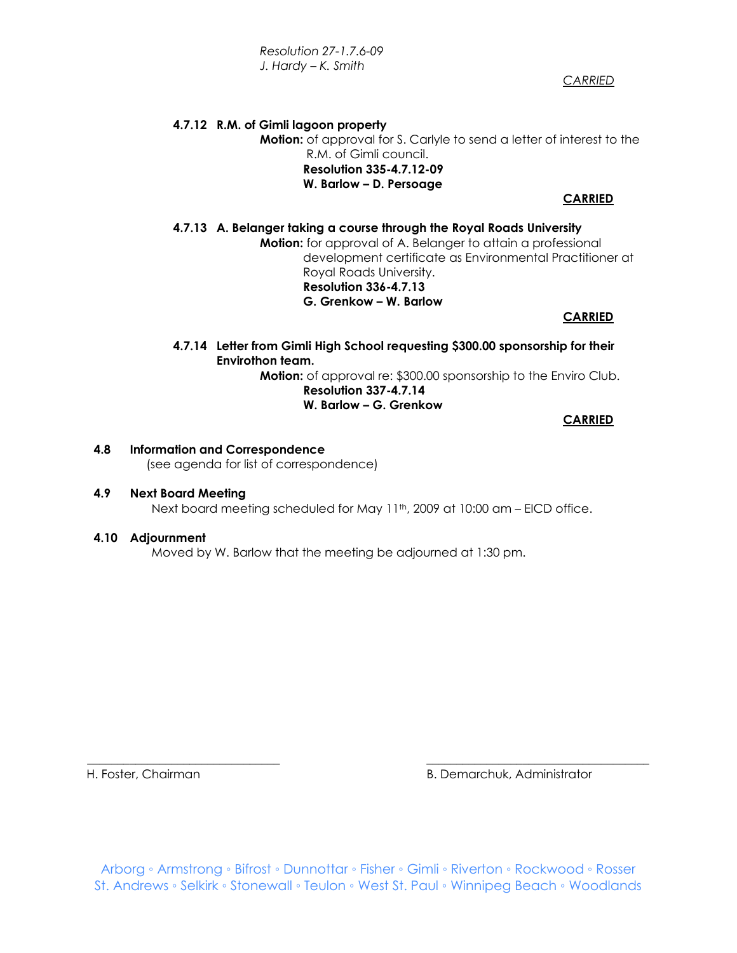*Resolution 27-1.7.6-09 J. Hardy – K. Smith* 

 *CARRIED*

## **4.7.12 R.M. of Gimli lagoon property Motion:** of approval for S. Carlyle to send a letter of interest to the R.M. of Gimli council. **Resolution 335-4.7.12-09 W. Barlow – D. Persoage**

## **CARRIED**

### **4.7.13 A. Belanger taking a course through the Royal Roads University**

**Motion:** for approval of A. Belanger to attain a professional development certificate as Environmental Practitioner at Royal Roads University. **Resolution 336-4.7.13 G. Grenkow – W. Barlow** 

#### **CARRIED**

 **4.7.14 Letter from Gimli High School requesting \$300.00 sponsorship for their Envirothon team.**

**Motion:** of approval re: \$300.00 sponsorship to the Enviro Club. **Resolution 337-4.7.14** 

### **W. Barlow – G. Grenkow**

**CARRIED**

## **4.8 Information and Correspondence**  (see agenda for list of correspondence)

#### **4.9 Next Board Meeting**

Next board meeting scheduled for May 11<sup>th</sup>, 2009 at 10:00 am - EICD office.

#### **4.10 Adjournment**

Moved by W. Barlow that the meeting be adjourned at 1:30 pm.

H. Foster, Chairman B. Demarchuk, Administrator

Arborg ◦ Armstrong ◦ Bifrost ◦ Dunnottar ◦ Fisher ◦ Gimli ◦ Riverton ◦ Rockwood ◦ Rosser St. Andrews ◦ Selkirk ◦ Stonewall ◦ Teulon ◦ West St. Paul ◦ Winnipeg Beach ◦ Woodlands

\_\_\_\_\_\_\_\_\_\_\_\_\_\_\_\_\_\_\_\_\_\_\_\_\_\_\_\_\_\_\_\_ \_\_\_\_\_\_\_\_\_\_\_\_\_\_\_\_\_\_\_\_\_\_\_\_\_\_\_\_\_\_\_\_\_\_\_\_\_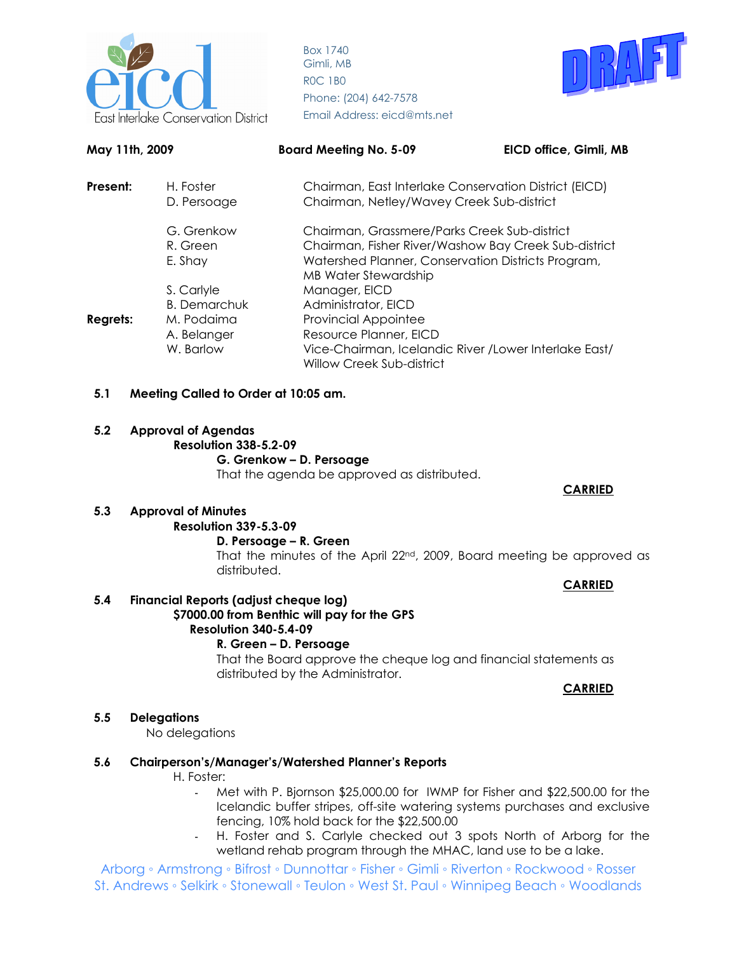



| May 11th, 2009         |                          | <b>Board Meeting No. 5-09</b>                                                              | EICD office, Gimli, MB                                                                               |  |
|------------------------|--------------------------|--------------------------------------------------------------------------------------------|------------------------------------------------------------------------------------------------------|--|
| Present:               | H. Foster<br>D. Persoage |                                                                                            | Chairman, East Interlake Conservation District (EICD)<br>Chairman, Netley/Wavey Creek Sub-district   |  |
| G. Grenkow<br>R. Green |                          |                                                                                            | Chairman, Grassmere/Parks Creek Sub-district<br>Chairman, Fisher River/Washow Bay Creek Sub-district |  |
|                        | E. Shay                  | Watershed Planner, Conservation Districts Program,<br><b>MB Water Stewardship</b>          |                                                                                                      |  |
|                        | S. Carlyle               | Manager, EICD                                                                              |                                                                                                      |  |
|                        | <b>B.</b> Demarchuk      | Administrator, EICD                                                                        |                                                                                                      |  |
| <b>Regrets:</b>        | M. Podaima               | <b>Provincial Appointee</b>                                                                |                                                                                                      |  |
|                        | A. Belanger              | Resource Planner, EICD                                                                     |                                                                                                      |  |
|                        | W. Barlow                | Vice-Chairman, Icelandic River / Lower Interlake East/<br><b>Willow Creek Sub-district</b> |                                                                                                      |  |

#### **5.1 Meeting Called to Order at 10:05 am.**

#### **5.2 Approval of Agendas**

**Resolution 338-5.2-09** 

#### **G. Grenkow – D. Persoage**

That the agenda be approved as distributed.

#### **CARRIED**

#### **5.3 Approval of Minutes**

## **Resolution 339-5.3-09**

#### **D. Persoage – R. Green**

That the minutes of the April 22nd, 2009, Board meeting be approved as distributed.

**CARRIED**

## **5.4 Financial Reports (adjust cheque log)**

#### **\$7000.00 from Benthic will pay for the GPS Resolution 340-5.4-09**

#### **R. Green – D. Persoage**

That the Board approve the cheque log and financial statements as distributed by the Administrator.

**CARRIED**

#### **5.5 Delegations**

No delegations

#### **5.6 Chairperson's/Manager's/Watershed Planner's Reports**

#### H. Foster:

- Met with P. Bjornson \$25,000.00 for IWMP for Fisher and \$22,500.00 for the Icelandic buffer stripes, off-site watering systems purchases and exclusive fencing, 10% hold back for the \$22,500.00
- H. Foster and S. Carlyle checked out 3 spots North of Arborg for the wetland rehab program through the MHAC, land use to be a lake.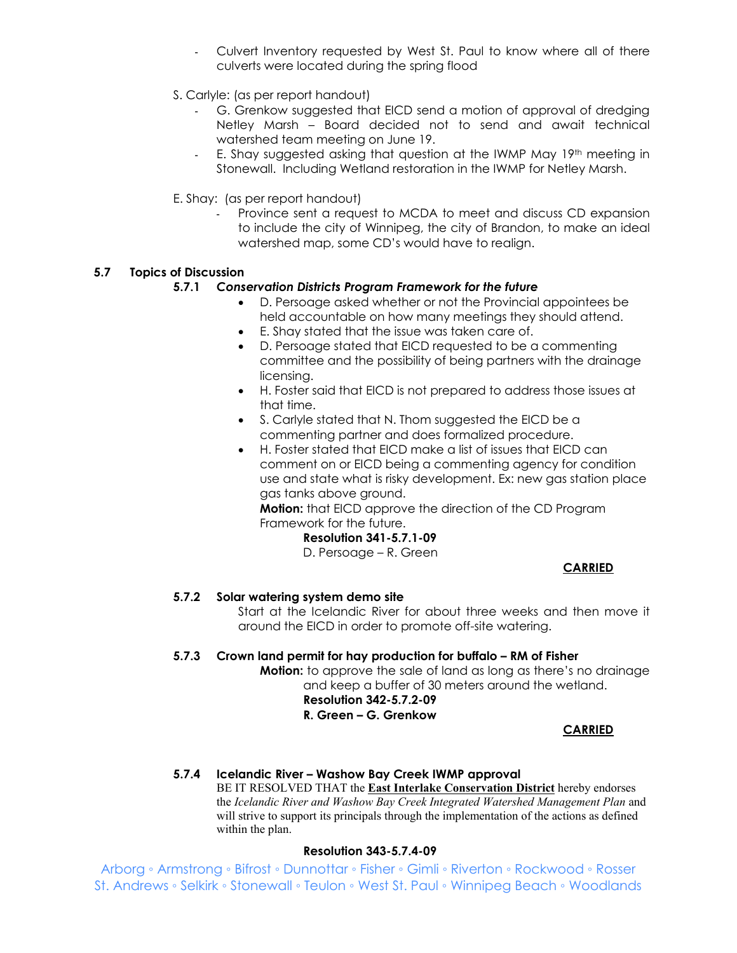- Culvert Inventory requested by West St. Paul to know where all of there culverts were located during the spring flood
- S. Carlyle: (as per report handout)
	- G. Grenkow suggested that EICD send a motion of approval of dredging Netley Marsh – Board decided not to send and await technical watershed team meeting on June 19.
	- E. Shay suggested asking that question at the IWMP May 19th meeting in Stonewall. Including Wetland restoration in the IWMP for Netley Marsh.
- E. Shay: (as per report handout)
	- Province sent a request to MCDA to meet and discuss CD expansion to include the city of Winnipeg, the city of Brandon, to make an ideal watershed map, some CD's would have to realign.

## **5.7 Topics of Discussion**

## **5.7.1** *Conservation Districts Program Framework for the future*

- D. Persoage asked whether or not the Provincial appointees be held accountable on how many meetings they should attend.
- E. Shay stated that the issue was taken care of.
- D. Persoage stated that EICD requested to be a commenting committee and the possibility of being partners with the drainage licensing.
- H. Foster said that EICD is not prepared to address those issues at that time.
- S. Carlyle stated that N. Thom suggested the EICD be a commenting partner and does formalized procedure.
- H. Foster stated that EICD make a list of issues that EICD can comment on or EICD being a commenting agency for condition use and state what is risky development. Ex: new gas station place gas tanks above ground.

**Motion:** that EICD approve the direction of the CD Program Framework for the future.

## **Resolution 341-5.7.1-09**

D. Persoage – R. Green

**CARRIED**

### **5.7.2 Solar watering system demo site**

Start at the Icelandic River for about three weeks and then move it around the EICD in order to promote off-site watering.

#### **5.7.3 Crown land permit for hay production for buffalo – RM of Fisher**

**Motion:** to approve the sale of land as long as there's no drainage and keep a buffer of 30 meters around the wetland.

#### **Resolution 342-5.7.2-09 R. Green – G. Grenkow**

**CARRIED**

## **5.7.4 Icelandic River – Washow Bay Creek IWMP approval**

BE IT RESOLVED THAT the **East Interlake Conservation District** hereby endorses the *Icelandic River and Washow Bay Creek Integrated Watershed Management Plan* and will strive to support its principals through the implementation of the actions as defined within the plan.

#### **Resolution 343-5.7.4-09**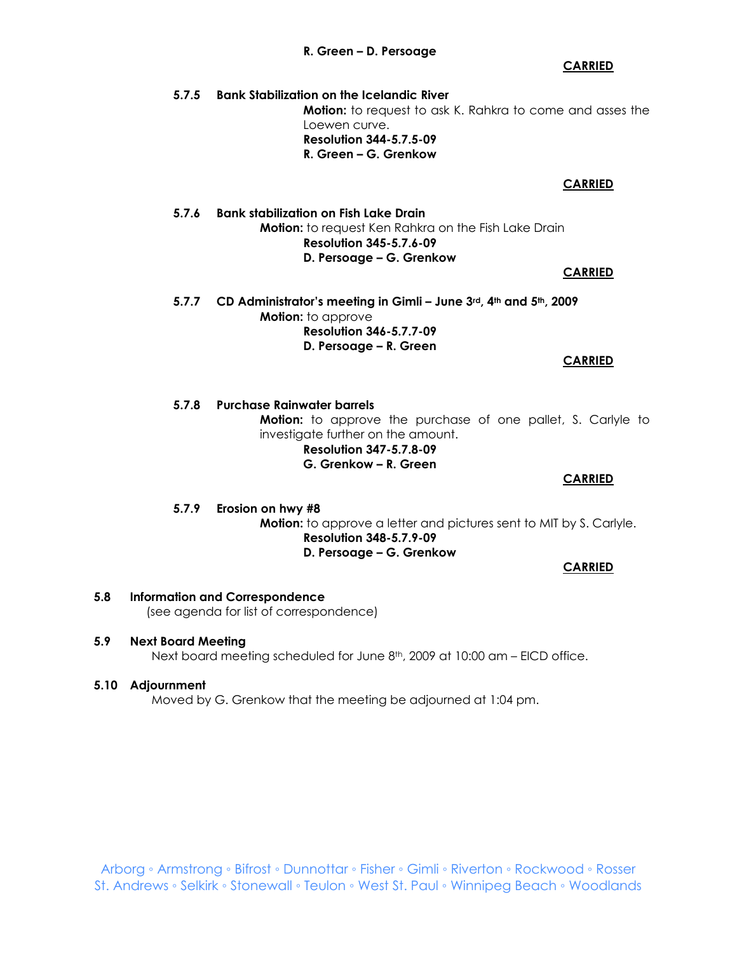#### **5.7.6 Bank stabilization on Fish Lake Drain**

**Resolution 344-5.7.5-09 R. Green – G. Grenkow** 

**Motion:** to request Ken Rahkra on the Fish Lake Drain **Resolution 345-5.7.6-09 D. Persoage – G. Grenkow** 

**5.7.7 CD Administrator's meeting in Gimli – June 3rd, 4th and 5th, 2009 Motion:** to approve **Resolution 346-5.7.7-09 D. Persoage – R. Green** 

**5.7.8 Purchase Rainwater barrels Motion:** to approve the purchase of one pallet, S. Carlyle to investigate further on the amount.  **Resolution 347-5.7.8-09 G. Grenkow – R. Green CARRIED**

**5.7.9 Erosion on hwy #8 Motion:** to approve a letter and pictures sent to MIT by S. Carlyle. **Resolution 348-5.7.9-09 D. Persoage – G. Grenkow CARRIED**

## **5.8 Information and Correspondence**

(see agenda for list of correspondence)

#### **5.9 Next Board Meeting**

Next board meeting scheduled for June 8<sup>th</sup>, 2009 at 10:00 am – EICD office.

#### **5.10 Adjournment**

Moved by G. Grenkow that the meeting be adjourned at 1:04 pm.

#### **R. Green – D. Persoage**

Loewen curve.

**5.7.5 Bank Stabilization on the Icelandic River** 

**CARRIED**

#### **CARRIED**

**Motion:** to request to ask K. Rahkra to come and asses the

## **CARRIED**

#### **CARRIED**